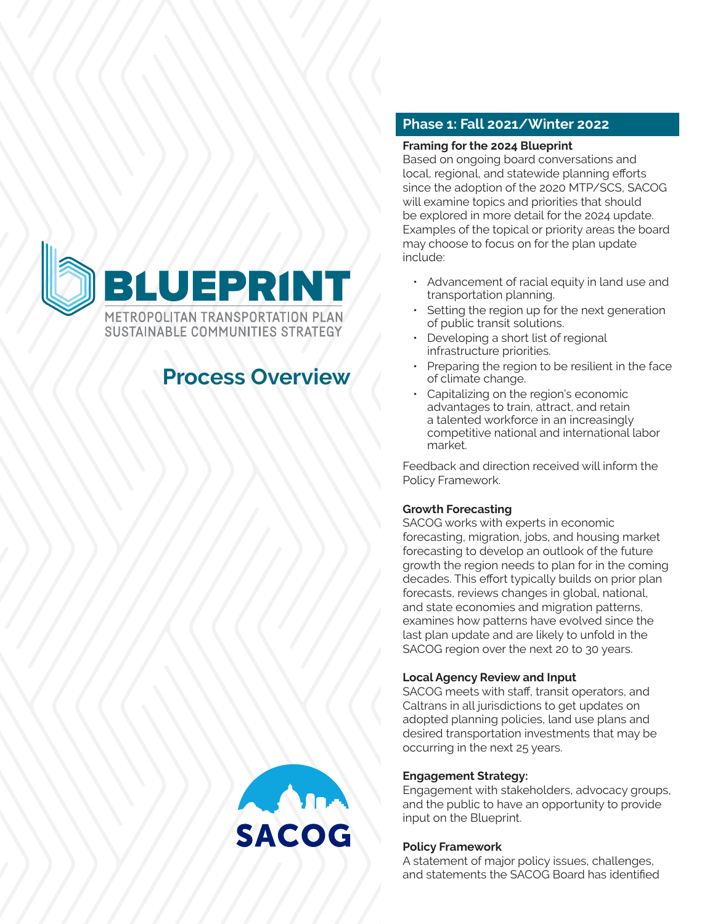

# **Process Overview**

# **Phase 1: Fall 2021/Winter 2022**

#### **Framing for the 2024 Blueprint**

Based on ongoing board conversations and local, regional, and statewide planning efforts since the adoption of the 2020 MTP/SCS, SACOG will examine topics and priorities that should be explored in more detail for the 2024 update. Examples of the topical or priority areas the board may choose to focus on for the plan update include:

- Advancement of racial equity in land use and transportation planning.
- Setting the region up for the next generation of public transit solutions.
- Developing a short list of regional infrastructure priorities.
- Preparing the region to be resilient in the face of climate change.
- Capitalizing on the region's economic advantages to train, attract, and retain a talented workforce in an increasingly competitive national and international labor market.

Feedback and direction received will inform the Policy Framework.

### **Growth Forecasting**

SACOG works with experts in economic forecasting, migration, jobs, and housing market forecasting to develop an outlook of the future growth the region needs to plan for in the coming decades. This effort typically builds on prior plan forecasts, reviews changes in global, national, and state economies and migration patterns, examines how patterns have evolved since the last plan update and are likely to unfold in the SACOG region over the next 20 to 30 years.

### **Local Agency Review and Input**

SACOG meets with staff, transit operators, and Caltrans in all jurisdictions to get updates on adopted planning policies, land use plans and desired transportation investments that may be occurring in the next 25 years.

### **Engagement Strategy:**

Engagement with stakeholders, advocacy groups, and the public to have an opportunity to provide input on the Blueprint.

### **Policy Framework**

A statement of major policy issues, challenges, and statements the SACOG Board has identified

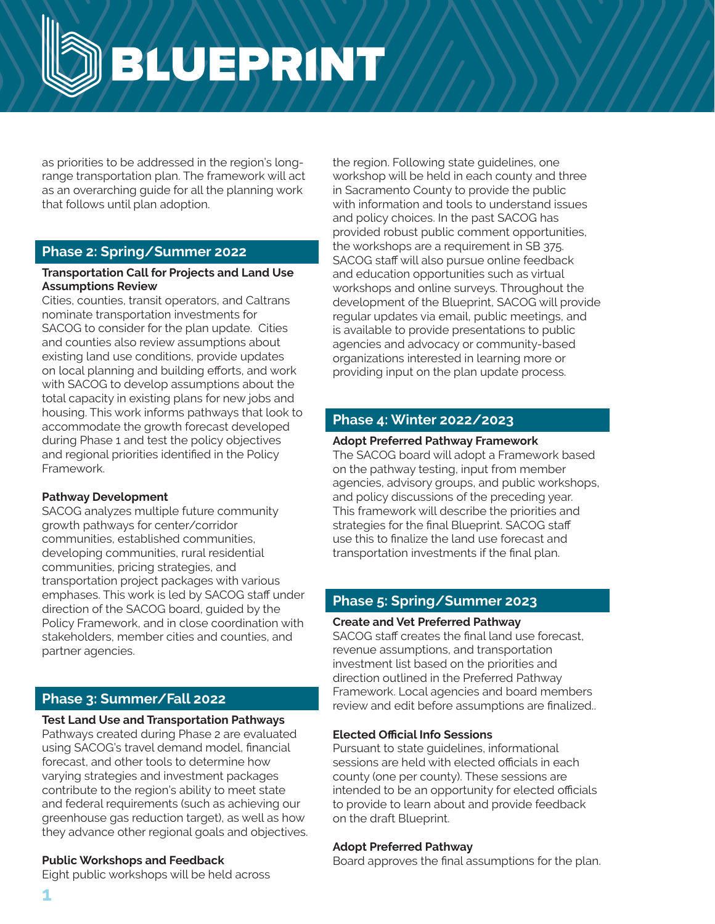BLUEPRINT

as priorities to be addressed in the region's longrange transportation plan. The framework will act as an overarching guide for all the planning work that follows until plan adoption.

### **Phase 2: Spring/Summer 2022**

#### **Transportation Call for Projects and Land Use Assumptions Review**

Cities, counties, transit operators, and Caltrans nominate transportation investments for SACOG to consider for the plan update. Cities and counties also review assumptions about existing land use conditions, provide updates on local planning and building efforts, and work with SACOG to develop assumptions about the total capacity in existing plans for new jobs and housing. This work informs pathways that look to accommodate the growth forecast developed during Phase 1 and test the policy objectives and regional priorities identified in the Policy Framework.

### **Pathway Development**

SACOG analyzes multiple future community growth pathways for center/corridor communities, established communities, developing communities, rural residential communities, pricing strategies, and transportation project packages with various emphases. This work is led by SACOG staff under direction of the SACOG board, guided by the Policy Framework, and in close coordination with stakeholders, member cities and counties, and partner agencies.

# **Phase 3: Summer/Fall 2022**

### **Test Land Use and Transportation Pathways**

Pathways created during Phase 2 are evaluated using SACOG's travel demand model, financial forecast, and other tools to determine how varying strategies and investment packages contribute to the region's ability to meet state and federal requirements (such as achieving our greenhouse gas reduction target), as well as how they advance other regional goals and objectives.

### **Public Workshops and Feedback**

Eight public workshops will be held across

the region. Following state guidelines, one workshop will be held in each county and three in Sacramento County to provide the public with information and tools to understand issues and policy choices. In the past SACOG has provided robust public comment opportunities, the workshops are a requirement in SB 375. SACOG staff will also pursue online feedback and education opportunities such as virtual workshops and online surveys. Throughout the development of the Blueprint, SACOG will provide regular updates via email, public meetings, and is available to provide presentations to public agencies and advocacy or community-based organizations interested in learning more or providing input on the plan update process.

# **Phase 4: Winter 2022/2023**

### **Adopt Preferred Pathway Framework**

The SACOG board will adopt a Framework based on the pathway testing, input from member agencies, advisory groups, and public workshops, and policy discussions of the preceding year. This framework will describe the priorities and strategies for the final Blueprint. SACOG staff use this to finalize the land use forecast and transportation investments if the final plan.

# **Phase 5: Spring/Summer 2023**

### **Create and Vet Preferred Pathway**

SACOG staff creates the final land use forecast, revenue assumptions, and transportation investment list based on the priorities and direction outlined in the Preferred Pathway Framework. Local agencies and board members review and edit before assumptions are finalized..

### **Elected Official Info Sessions**

Pursuant to state guidelines, informational sessions are held with elected officials in each county (one per county). These sessions are intended to be an opportunity for elected officials to provide to learn about and provide feedback on the draft Blueprint.

### **Adopt Preferred Pathway**

Board approves the final assumptions for the plan.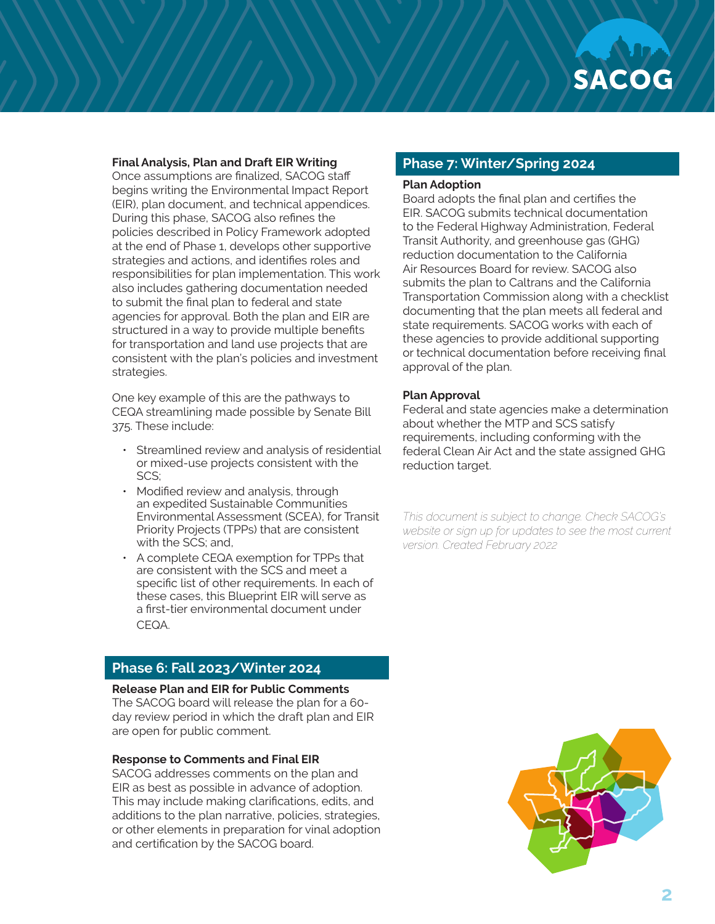#### **Final Analysis, Plan and Draft EIR Writing**

Once assumptions are finalized, SACOG staff begins writing the Environmental Impact Report (EIR), plan document, and technical appendices. During this phase, SACOG also refines the policies described in Policy Framework adopted at the end of Phase 1, develops other supportive strategies and actions, and identifies roles and responsibilities for plan implementation. This work also includes gathering documentation needed to submit the final plan to federal and state agencies for approval. Both the plan and EIR are structured in a way to provide multiple benefits for transportation and land use projects that are consistent with the plan's policies and investment strategies.

One key example of this are the pathways to CEQA streamlining made possible by Senate Bill 375. These include:

- Streamlined review and analysis of residential or mixed-use projects consistent with the SCS;
- Modified review and analysis, through an expedited Sustainable Communities Environmental Assessment (SCEA), for Transit Priority Projects (TPPs) that are consistent with the SCS; and,
- A complete CEQA exemption for TPPs that are consistent with the SCS and meet a specific list of other requirements. In each of these cases, this Blueprint EIR will serve as a first-tier environmental document under CEQA.

# **Phase 6: Fall 2023/Winter 2024**

**Release Plan and EIR for Public Comments**

The SACOG board will release the plan for a 60 day review period in which the draft plan and EIR are open for public comment.

#### **Response to Comments and Final EIR**

SACOG addresses comments on the plan and EIR as best as possible in advance of adoption. This may include making clarifications, edits, and additions to the plan narrative, policies, strategies, or other elements in preparation for vinal adoption and certification by the SACOG board.

### **Phase 7: Winter/Spring 2024**

#### **Plan Adoption**

Board adopts the final plan and certifies the EIR. SACOG submits technical documentation to the Federal Highway Administration, Federal Transit Authority, and greenhouse gas (GHG) reduction documentation to the California Air Resources Board for review. SACOG also submits the plan to Caltrans and the California Transportation Commission along with a checklist documenting that the plan meets all federal and state requirements. SACOG works with each of these agencies to provide additional supporting or technical documentation before receiving final approval of the plan.

#### **Plan Approval**

Federal and state agencies make a determination about whether the MTP and SCS satisfy requirements, including conforming with the federal Clean Air Act and the state assigned GHG reduction target.

*This document is subject to change. Check SACOG's website or sign up for updates to see the most current version. Created February 2022*

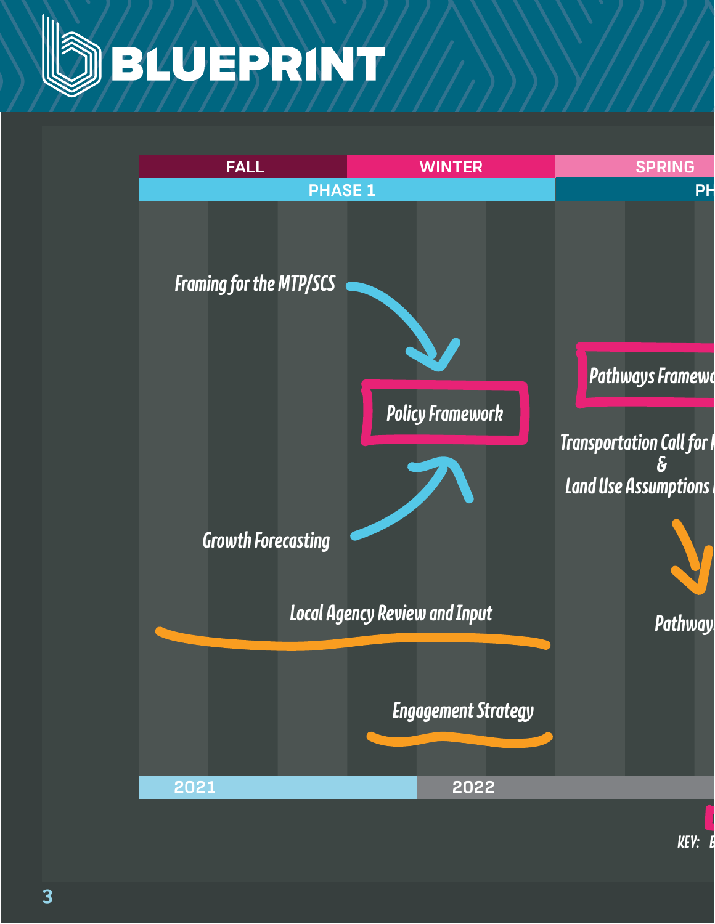

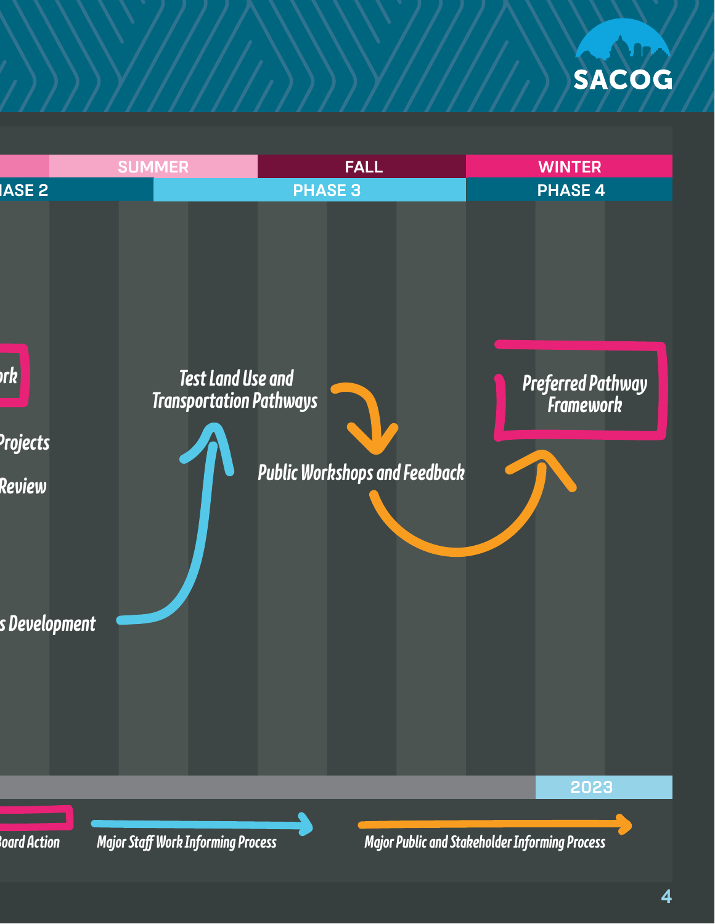

**Alba** 

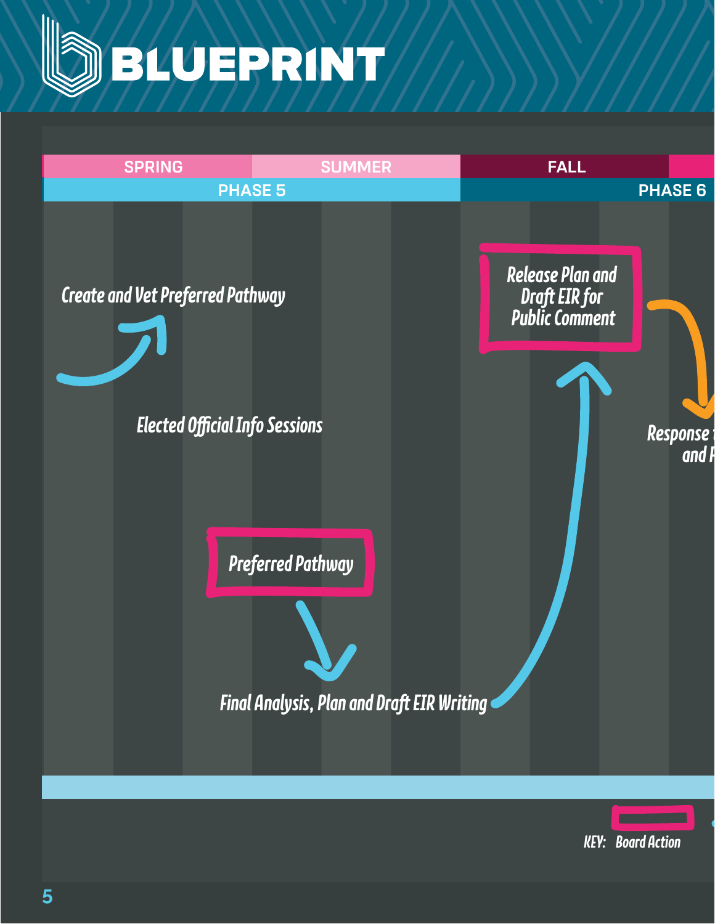